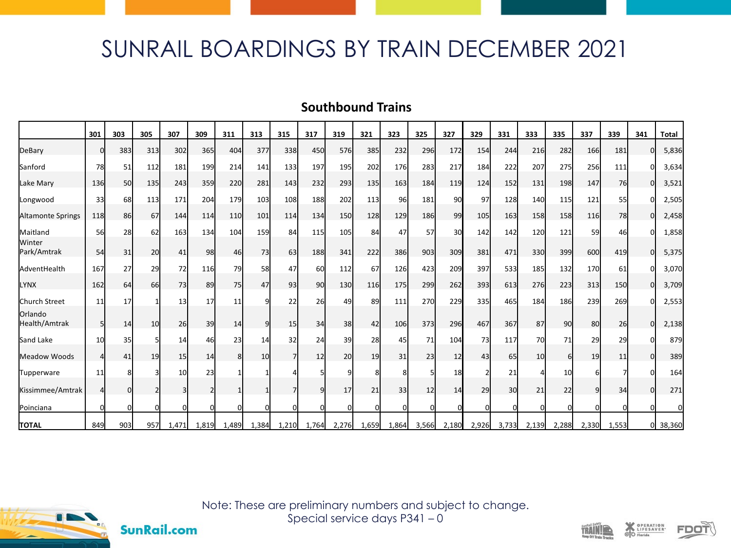## SUNRAIL BOARDINGS BY TRAIN DECEMBER 2021

## **Southbound Trains**

|                          | 301      | 303 | 305             | 307      | 309   | 311            | 313        | 315   | 317      | 319   | 321      | 323   | 325   | 327   | 329   | 331   | 333      | 335      | 337   | 339   | 341 | <b>Total</b> |
|--------------------------|----------|-----|-----------------|----------|-------|----------------|------------|-------|----------|-------|----------|-------|-------|-------|-------|-------|----------|----------|-------|-------|-----|--------------|
| DeBary                   | ŋ        | 383 | 313             | 302      | 365   | 404            | 377        | 338   | 450      | 576   | 385      | 232   | 296   | 172   | 154   | 244   | 216      | 282      | 166   | 181   | ŋ   | 5,836        |
| Sanford                  | 78       | 51  | 112             | 181      | 199   | 214            | 141        | 133   | 197      | 195   | 202      | 176   | 283   | 217   | 184   | 222   | 207      | 275      | 256   | 111   |     | 3,634        |
| Lake Mary                | 136      | 50  | 135             | 243      | 359   | 220            | 281        | 143   | 232      | 293   | 135      | 163   | 184   | 119   | 124   | 152   | 131      | 198      | 147   | 76    | Οl  | 3,521        |
| Longwood                 | 33       | 68  | 113             | 171      | 204   | 179            | 103        | 108   | 188      | 202   | 113      | 96    | 181   | 90    | 97    | 128   | 140      | 115      | 121   | 55    | U   | 2,505        |
| <b>Altamonte Springs</b> | 118      | 86  | 67              | 144      | 114   | <b>110</b>     | 101        | 114   | 134      | 150   | 128      | 129   | 186   | 99    | 105   | 163   | 158      | 158      | 116   | 78    | Οl  | 2,458        |
| Maitland<br>Winter       | 56       | 28  | 62              | 163      | 134   | 104            | <b>159</b> | 84    | 115      | 105   | 84       | 47    | 57    | 30    | 142   | 142   | 120      | 121      | 59    | 46    | U   | 1,858        |
| Park/Amtrak              | 54       | 31  | 20              | 41       | 98    | 46             | 73         | 63    | 188      | 341   | 222      | 386   | 903   | 309   | 381   | 471   | 330      | 399      | 600   | 419   | O   | 5,375        |
| AdventHealth             | 167      | 27  | 29              | 72       | 116   | 79             | 58         | 47    | 60       | 112   | 67       | 126   | 423   | 209   | 397   | 533   | 185      | 132      | 170   | 61    |     | 3,070        |
| <b>LYNX</b>              | 162      | 64  | 66              | 73       | 89    | 75             | 47         | 93    | 90       | 130   | 116      | 175   | 299   | 262   | 393   | 613   | 276      | 223      | 313   | 150   | O   | 3,709        |
| Church Street            | 11       | 17  |                 | 13       | 17    | 11             |            | 22    | 26       | 49    | 89       | 111   | 270   | 229   | 335   | 465   | 184      | 186      | 239   | 269   |     | 2,553        |
| Orlando<br>Health/Amtrak | 5        | 14  | 10 <sup>1</sup> | 26       | 39    | 14             | 9l         | 15    | 34       | 38    | 42       | 106   | 373   | 296   | 467   | 367   | 87       | 90       | 80    | 26    | O   | 2,138        |
| Sand Lake                | 10       | 35  |                 | 14       | 46    | 23             | 14         | 32    | 24       | 39    | 28       | 45    | 71    | 104   | 73    | 117   | 70       | 71       | 29    | 29    |     | 879          |
| Meadow Woods             | 4        | 41  | 19              | 15       | 14    | 8 <sup>1</sup> | 10         |       | 12       | 20    | 19       | 31    | 23    | 12    | 43    | 65    | 10       | 6I       | 19    | 11    |     | 389          |
| Tupperware               | 11       |     |                 | 10       | 23    |                |            |       |          |       |          |       |       | 18    |       | 21    |          | 10       |       |       |     | 164          |
| Kissimmee/Amtrak         | 41       | 0   |                 |          |       |                |            |       | 9        | 17    | 21       | 33    | 12    | 14    | 29    | 30    | 21       | 22       | q     | 34    | U   | 271          |
| Poinciana                | $\Omega$ | O   | $\mathbf 0$     | $\Omega$ |       |                |            |       | $\Omega$ | n     | $\Omega$ |       |       | O     |       |       | $\Omega$ | $\Omega$ |       |       |     | $\Omega$     |
| <b>TOTAL</b>             | 849      | 903 | 957             | 1,471    | 1,819 | 1,489          | 1,384      | 1,210 | 1,764    | 2,276 | 1,659    | 1,864 | 3,566 | 2,180 | 2,926 | 3,733 | 2,139    | 2,288    | 2,330 | 1,553 |     | 38,360       |



**SunRail.com** 

Note: These are preliminary numbers and subject to change. Special service days P341 – 0